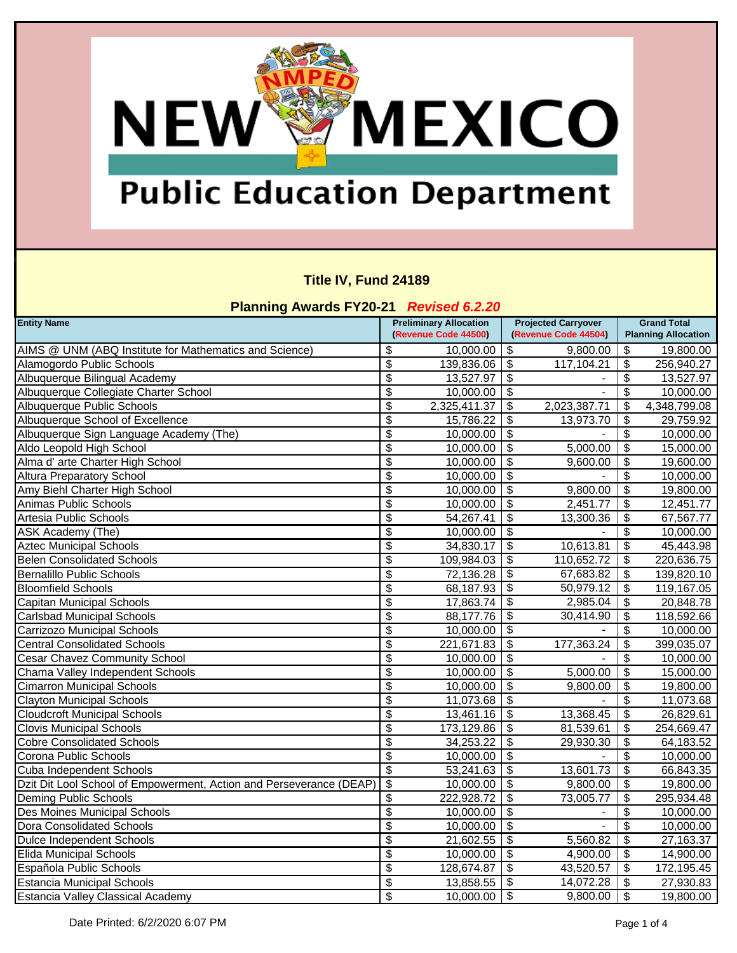### **Public Education Department**

**NEW WEXICO** 

#### **Title IV, Fund 24189**

| <b>Planning Awards FY20-21 Revised 6.2.20</b>                       |                               |                      |                           |                            |                           |                            |  |
|---------------------------------------------------------------------|-------------------------------|----------------------|---------------------------|----------------------------|---------------------------|----------------------------|--|
| <b>Entity Name</b>                                                  | <b>Preliminary Allocation</b> |                      |                           | <b>Projected Carryover</b> | <b>Grand Total</b>        |                            |  |
|                                                                     |                               | (Revenue Code 44500) |                           | (Revenue Code 44504)       |                           | <b>Planning Allocation</b> |  |
| AIMS @ UNM (ABQ Institute for Mathematics and Science)              | \$                            | 10,000.00            | \$                        | 9,800.00                   | \$                        | 19,800.00                  |  |
| Alamogordo Public Schools                                           | \$                            | 139,836.06           | \$                        | 117,104.21                 | \$                        | 256,940.27                 |  |
| Albuquerque Bilingual Academy                                       | \$                            | 13,527.97            | \$                        |                            | \$                        | 13,527.97                  |  |
| Albuquerque Collegiate Charter School                               | $\overline{\mathcal{E}}$      | 10,000.00            | \$                        |                            | \$                        | 10,000.00                  |  |
| Albuquerque Public Schools                                          | \$                            | 2,325,411.37         | \$                        | 2,023,387.71               | \$                        | 4,348,799.08               |  |
| Albuquerque School of Excellence                                    | \$                            | 15,786.22            | \$                        | 13,973.70                  | \$                        | 29,759.92                  |  |
| Albuquerque Sign Language Academy (The)                             | \$                            | 10,000.00            | \$                        |                            | \$                        | 10,000.00                  |  |
| Aldo Leopold High School                                            | \$                            | 10,000.00            | \$                        | 5,000.00                   | \$                        | 15,000.00                  |  |
| Alma d' arte Charter High School                                    | \$                            | 10,000.00            | \$                        | 9,600.00                   | \$                        | 19,600.00                  |  |
| <b>Altura Preparatory School</b>                                    | $\overline{\mathbf{e}}$       | 10,000.00            | \$                        |                            | $\overline{\mathbf{e}}$   | 10,000.00                  |  |
| Amy Biehl Charter High School                                       | $\overline{\mathcal{E}}$      | 10,000.00            | \$                        | 9,800.00                   | \$                        | 19,800.00                  |  |
| Animas Public Schools                                               | $\overline{\mathcal{E}}$      | 10,000.00            | $\overline{\mathcal{S}}$  | 2,451.77                   | $\overline{\mathbf{e}}$   | 12,451.77                  |  |
| Artesia Public Schools                                              | \$                            | 54,267.41            | \$                        | 13,300.36                  | \$                        | 67,567.77                  |  |
| <b>ASK Academy (The)</b>                                            | $\overline{\mathcal{E}}$      | 10,000.00            | \$                        |                            | \$                        | 10,000.00                  |  |
| <b>Aztec Municipal Schools</b>                                      | $\pmb{\$}$                    | 34,830.17            | \$                        | 10,613.81                  | \$                        | 45,443.98                  |  |
| <b>Belen Consolidated Schools</b>                                   | $\overline{\mathcal{E}}$      | 109,984.03           | \$                        | 110,652.72                 | \$                        | 220,636.75                 |  |
| <b>Bernalillo Public Schools</b>                                    | $\overline{\mathcal{E}}$      | 72,136.28            | \$                        | 67,683.82                  | \$                        | 139,820.10                 |  |
| <b>Bloomfield Schools</b>                                           | \$                            | 68,187.93            | \$                        | 50,979.12                  | \$                        | 119,167.05                 |  |
| Capitan Municipal Schools                                           | \$                            | 17,863.74            | \$                        | 2,985.04                   | \$                        | 20,848.78                  |  |
| <b>Carlsbad Municipal Schools</b>                                   | $\overline{\mathcal{G}}$      | 88,177.76            | \$                        | 30,414.90                  | \$                        | 118,592.66                 |  |
| Carrizozo Municipal Schools                                         | \$                            | 10,000.00            | \$                        |                            | \$                        | 10,000.00                  |  |
| <b>Central Consolidated Schools</b>                                 | $\overline{\mathbf{e}}$       | 221,671.83           | \$                        | 177,363.24                 | \$                        | 399,035.07                 |  |
| <b>Cesar Chavez Community School</b>                                | \$                            | 10,000.00            | \$                        |                            | \$                        | 10,000.00                  |  |
| Chama Valley Independent Schools                                    | \$                            | 10,000.00            | \$                        | 5,000.00                   | \$                        | 15,000.00                  |  |
| <b>Cimarron Municipal Schools</b>                                   | \$                            | 10,000.00            | \$                        | 9,800.00                   | \$                        | 19,800.00                  |  |
| <b>Clayton Municipal Schools</b>                                    | $\overline{\mathbf{e}}$       | 11,073.68            | \$                        |                            | $\overline{\mathbf{S}}$   | 11,073.68                  |  |
| <b>Cloudcroft Municipal Schools</b>                                 | $\overline{\mathcal{G}}$      | 13,461.16            | \$                        | 13,368.45                  | \$                        | 26,829.61                  |  |
| <b>Clovis Municipal Schools</b>                                     | $\overline{\mathcal{G}}$      | 173,129.86           | \$                        | 81,539.61                  | \$                        | 254,669.47                 |  |
| <b>Cobre Consolidated Schools</b>                                   | \$                            | 34,253.22            | \$                        | 29,930.30                  | \$                        | 64,183.52                  |  |
| Corona Public Schools                                               | \$                            | 10,000.00            | \$                        |                            | \$                        | 10,000.00                  |  |
| Cuba Independent Schools                                            | \$                            | 53,241.63            | \$                        | 13,601.73                  | \$                        | 66,843.35                  |  |
| Dzit Dit Lool School of Empowerment, Action and Perseverance (DEAP) | \$                            | 10,000.00            | \$                        | 9,800.00                   | \$                        | 19,800.00                  |  |
| <b>Deming Public Schools</b>                                        | \$                            | 222,928.72           | \$                        | 73,005.77                  | \$                        | 295,934.48                 |  |
| Des Moines Municipal Schools                                        | \$                            | 10,000.00            | \$                        | -                          | \$                        | 10,000.00                  |  |
| Dora Consolidated Schools                                           | $\overline{\mathbf{e}}$       | 10,000.00            | $\mathfrak{F}$            |                            | \$                        | 10,000.00                  |  |
| <b>Dulce Independent Schools</b>                                    | $\overline{\mathcal{G}}$      | 21,602.55            | $\boldsymbol{\mathsf{s}}$ | 5,560.82                   | \$                        | 27,163.37                  |  |
| <b>Elida Municipal Schools</b>                                      | $\overline{\mathcal{G}}$      | 10,000.00            | \$                        | 4,900.00                   | $\boldsymbol{\mathsf{S}}$ | 14,900.00                  |  |
| Española Public Schools                                             | \$                            | 128,674.87           | \$                        | 43,520.57                  | \$                        | 172,195.45                 |  |
| <b>Estancia Municipal Schools</b>                                   | \$                            | 13,858.55            | \$                        | 14,072.28                  | $\boldsymbol{\mathsf{S}}$ | 27,930.83                  |  |
| Estancia Valley Classical Academy                                   | $\overline{\mathcal{G}}$      | 10,000.00            | \$                        | 9,800.00                   | $\sqrt[6]{3}$             | 19,800.00                  |  |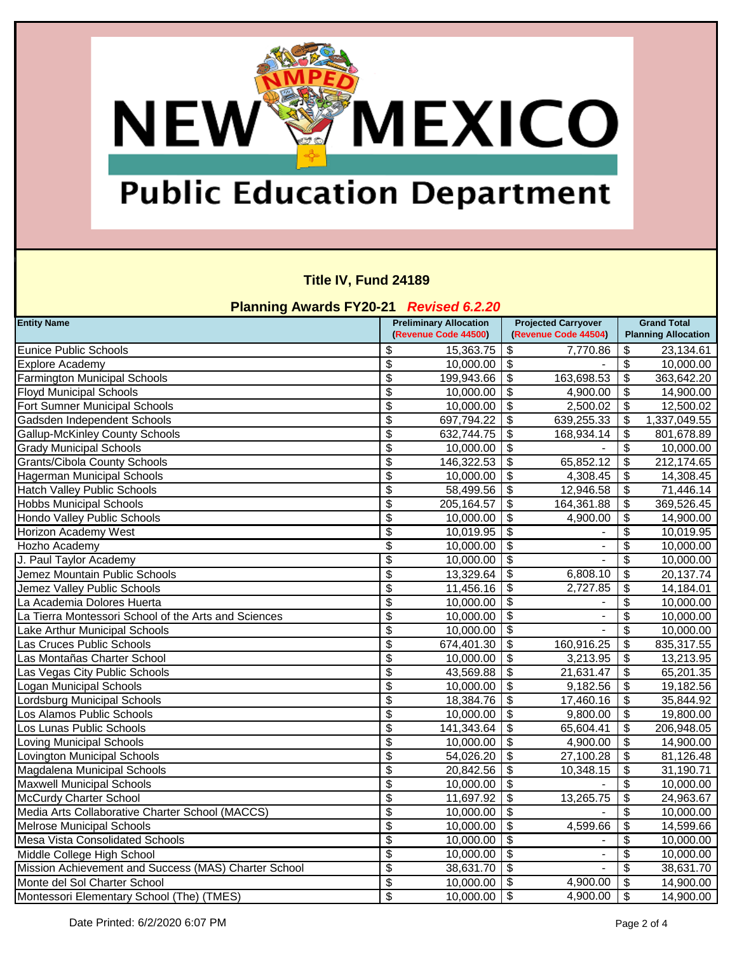# **NEW WEXICO**

### **Public Education Department**

#### **Title IV, Fund 24189**

| <b>Planning Awards FY20-21 Revised 6.2.20</b>        |                                        |                                                       |                           |                                                    |                                                  |              |  |
|------------------------------------------------------|----------------------------------------|-------------------------------------------------------|---------------------------|----------------------------------------------------|--------------------------------------------------|--------------|--|
| <b>Entity Name</b>                                   |                                        | <b>Preliminary Allocation</b><br>(Revenue Code 44500) |                           | <b>Projected Carryover</b><br>(Revenue Code 44504) | <b>Grand Total</b><br><b>Planning Allocation</b> |              |  |
| <b>Eunice Public Schools</b>                         | \$                                     | 15,363.75                                             | \$                        | 7,770.86                                           | \$                                               | 23,134.61    |  |
| <b>Explore Academy</b>                               | $\boldsymbol{\mathsf{S}}$              | 10,000.00                                             | $\overline{\mathcal{S}}$  |                                                    | $\boldsymbol{\mathsf{S}}$                        | 10,000.00    |  |
| <b>Farmington Municipal Schools</b>                  | \$                                     | 199,943.66                                            | \$                        | 163,698.53                                         | $\boldsymbol{\mathsf{\$}}$                       | 363,642.20   |  |
| <b>Floyd Municipal Schools</b>                       | $\overline{\boldsymbol{\theta}}$       | 10,000.00                                             | \$                        | 4,900.00                                           | $\overline{\boldsymbol{\mathfrak{s}}}$           | 14,900.00    |  |
| Fort Sumner Municipal Schools                        | $\boldsymbol{\mathsf{S}}$              | 10,000.00                                             | \$                        | 2,500.02                                           | \$                                               | 12,500.02    |  |
| Gadsden Independent Schools                          | $\overline{\boldsymbol{\theta}}$       | 697,794.22                                            | \$                        | 639,255.33                                         | \$                                               | 1,337,049.55 |  |
| <b>Gallup-McKinley County Schools</b>                | $\overline{\boldsymbol{\mathfrak{s}}}$ | 632,744.75                                            | \$                        | 168,934.14                                         | $\boldsymbol{\mathsf{S}}$                        | 801,678.89   |  |
| <b>Grady Municipal Schools</b>                       | $\overline{\$}$                        | 10,000.00                                             | \$                        |                                                    | $\boldsymbol{\mathsf{S}}$                        | 10,000.00    |  |
| <b>Grants/Cibola County Schools</b>                  | $\overline{\boldsymbol{\theta}}$       | 146,322.53                                            | \$                        | 65,852.12                                          | \$                                               | 212,174.65   |  |
| <b>Hagerman Municipal Schools</b>                    | $\overline{\boldsymbol{\theta}}$       | 10,000.00                                             | \$                        | 4,308.45                                           | $\overline{\mathfrak{s}}$                        | 14,308.45    |  |
| <b>Hatch Valley Public Schools</b>                   | $\boldsymbol{\theta}$                  | 58,499.56                                             | \$                        | 12,946.58                                          | \$                                               | 71,446.14    |  |
| <b>Hobbs Municipal Schools</b>                       | $\overline{\boldsymbol{\theta}}$       | 205, 164.57                                           | \$                        | 164,361.88                                         | $\frac{1}{2}$                                    | 369,526.45   |  |
| Hondo Valley Public Schools                          | $\overline{\boldsymbol{\theta}}$       | 10,000.00                                             | \$                        | 4,900.00                                           | \$                                               | 14,900.00    |  |
| Horizon Academy West                                 | $\overline{\$}$                        | 10,019.95                                             | \$                        |                                                    | \$                                               | 10,019.95    |  |
| Hozho Academy                                        | \$                                     | 10,000.00                                             | \$                        | -                                                  | \$                                               | 10,000.00    |  |
| J. Paul Taylor Academy                               | $\overline{\$}$                        | 10,000.00                                             | \$                        |                                                    | \$                                               | 10,000.00    |  |
| Jemez Mountain Public Schools                        | $\overline{\boldsymbol{\mathfrak{s}}}$ | 13,329.64                                             | $\sqrt[6]{\frac{1}{2}}$   | 6,808.10                                           | \$                                               | 20,137.74    |  |
| Jemez Valley Public Schools                          | $\overline{\boldsymbol{\theta}}$       | 11,456.16                                             | \$                        | 2,727.85                                           | $\boldsymbol{\theta}$                            | 14,184.01    |  |
| La Academia Dolores Huerta                           | $\boldsymbol{\theta}$                  | 10,000.00                                             | \$                        |                                                    | \$                                               | 10,000.00    |  |
| La Tierra Montessori School of the Arts and Sciences | $\overline{\boldsymbol{\mathfrak{s}}}$ | 10,000.00                                             | \$                        | $\overline{\phantom{0}}$                           | $\overline{\boldsymbol{\theta}}$                 | 10,000.00    |  |
| Lake Arthur Municipal Schools                        | $\overline{\boldsymbol{\mathfrak{s}}}$ | 10,000.00                                             | \$                        |                                                    | $\overline{\boldsymbol{\theta}}$                 | 10,000.00    |  |
| Las Cruces Public Schools                            | $\overline{\boldsymbol{\theta}}$       | 674,401.30                                            | \$                        | 160,916.25                                         | $\overline{\mathbf{3}}$                          | 835,317.55   |  |
| Las Montañas Charter School                          | $\overline{\boldsymbol{\theta}}$       | 10,000.00                                             | \$                        | 3,213.95                                           | $\overline{\boldsymbol{\mathfrak{s}}}$           | 13,213.95    |  |
| Las Vegas City Public Schools                        | $\overline{\$}$                        | 43,569.88                                             | $\overline{\mathbf{3}}$   | 21,631.47                                          | $\overline{\mathbf{3}}$                          | 65,201.35    |  |
| Logan Municipal Schools                              | $\overline{\mathcal{S}}$               | 10,000.00                                             | $\overline{\mathbf{S}}$   | 9,182.56                                           | $\overline{\mathfrak{s}}$                        | 19,182.56    |  |
| Lordsburg Municipal Schools                          | $\overline{\boldsymbol{\theta}}$       | 18,384.76                                             | \$                        | 17,460.16                                          | $\overline{\boldsymbol{\mathfrak{s}}}$           | 35,844.92    |  |
| Los Alamos Public Schools                            | $\overline{\mathbf{3}}$                | 10,000.00                                             | \$                        | 9,800.00                                           | $\overline{\mathfrak{s}}$                        | 19,800.00    |  |
| Los Lunas Public Schools                             | $\overline{\boldsymbol{\mathfrak{s}}}$ | 141,343.64                                            | \$                        | 65,604.41                                          | $\boldsymbol{\theta}$                            | 206,948.05   |  |
| Loving Municipal Schools                             | $\boldsymbol{\mathsf{S}}$              | 10,000.00                                             | \$                        | 4,900.00                                           | $\boldsymbol{\mathsf{S}}$                        | 14,900.00    |  |
| Lovington Municipal Schools                          | $\boldsymbol{\mathsf{S}}$              | 54,026.20                                             | \$                        | 27,100.28                                          | $\boldsymbol{\mathsf{S}}$                        | 81,126.48    |  |
| Magdalena Municipal Schools                          | \$                                     | 20,842.56                                             | \$                        | 10,348.15                                          | $\frac{1}{2}$                                    | 31,190.71    |  |
| <b>Maxwell Municipal Schools</b>                     | $\overline{\boldsymbol{\theta}}$       | 10,000.00                                             | $\overline{\mathbf{s}}$   |                                                    | $\boldsymbol{\mathsf{S}}$                        | 10,000.00    |  |
| McCurdy Charter School                               | $\boldsymbol{\mathsf{S}}$              | 11,697.92                                             | \$                        | 13,265.75                                          | $\sqrt{3}$                                       | 24,963.67    |  |
| Media Arts Collaborative Charter School (MACCS)      | $\boldsymbol{\$}$                      | 10,000.00                                             | $\sqrt{3}$                | $\overline{\phantom{a}}$                           | $\overline{\mathbf{3}}$                          | 10,000.00    |  |
| <b>Melrose Municipal Schools</b>                     | $\overline{\mathcal{S}}$               | 10,000.00                                             | $\sqrt[6]{3}$             | 4,599.66                                           | $\boldsymbol{\mathsf{S}}$                        | 14,599.66    |  |
| Mesa Vista Consolidated Schools                      | $\boldsymbol{\theta}$                  | 10,000.00                                             | $\boldsymbol{\mathsf{S}}$ |                                                    | $\boldsymbol{\mathsf{S}}$                        | 10,000.00    |  |
| Middle College High School                           | $\overline{\mathcal{L}}$               | 10,000.00                                             | $\overline{\$}$           | $\blacksquare$                                     | $\overline{\mathbf{3}}$                          | 10,000.00    |  |
| Mission Achievement and Success (MAS) Charter School | $\overline{\theta}$                    | 38,631.70                                             | $\overline{\mathbf{3}}$   |                                                    | $\boldsymbol{\theta}$                            | 38,631.70    |  |
| Monte del Sol Charter School                         | $\overline{\mathcal{L}}$               | 10,000.00                                             | $\Theta$                  | 4,900.00                                           | $\sqrt{3}$                                       | 14,900.00    |  |
| Montessori Elementary School (The) (TMES)            | $\overline{\$}$                        | 10,000.00                                             | $\bullet$                 | 4,900.00                                           | l \$                                             | 14,900.00    |  |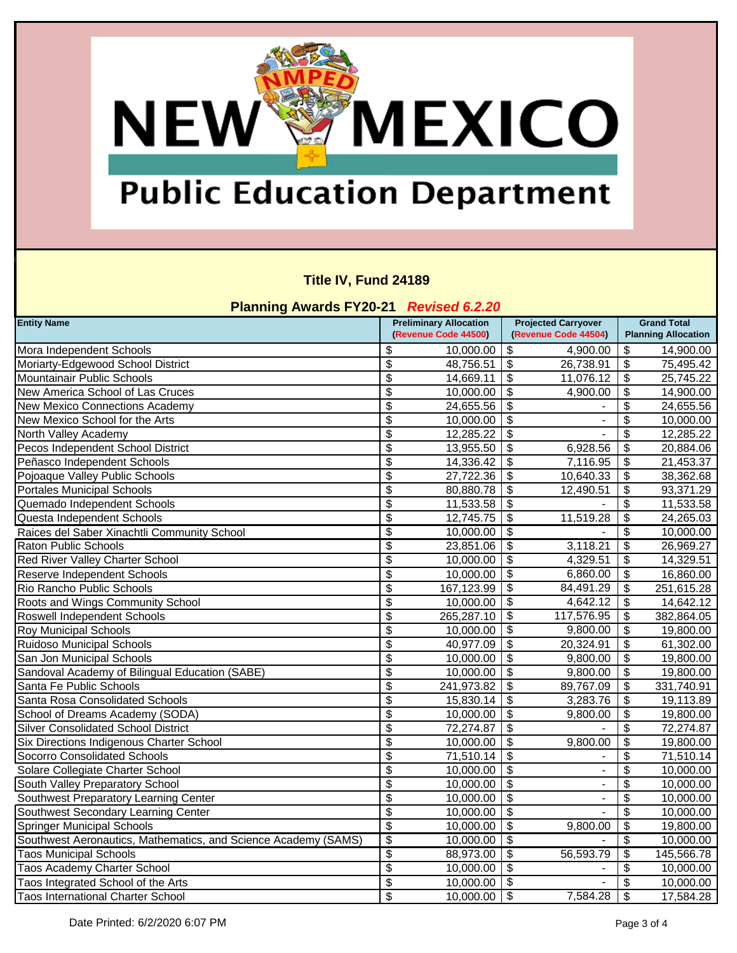# **Public Education Department**

**NEW WEXICO** 

#### **Title IV, Fund 24189**

| <b>Planning Awards FY20-21 Revised 6.2.20</b>                  |                                        |                                                       |                           |                                                    |                                        |                                                  |  |
|----------------------------------------------------------------|----------------------------------------|-------------------------------------------------------|---------------------------|----------------------------------------------------|----------------------------------------|--------------------------------------------------|--|
| <b>Entity Name</b>                                             |                                        | <b>Preliminary Allocation</b><br>(Revenue Code 44500) |                           | <b>Projected Carryover</b><br>(Revenue Code 44504) |                                        | <b>Grand Total</b><br><b>Planning Allocation</b> |  |
| Mora Independent Schools                                       | \$                                     | 10,000.00                                             | \$                        | 4,900.00                                           | \$                                     | 14,900.00                                        |  |
| Moriarty-Edgewood School District                              | $\boldsymbol{\mathsf{S}}$              | 48,756.51                                             | $\sqrt[6]{\frac{1}{2}}$   | 26,738.91                                          | ङ                                      | 75,495.42                                        |  |
| Mountainair Public Schools                                     | \$                                     | 14,669.11                                             | \$                        | 11,076.12                                          | $\boldsymbol{\mathsf{\$}}$             | 25,745.22                                        |  |
| New America School of Las Cruces                               | $\overline{\boldsymbol{\theta}}$       | 10,000.00                                             | $\overline{\mathcal{S}}$  | 4,900.00                                           | $\overline{\boldsymbol{\mathfrak{s}}}$ | 14,900.00                                        |  |
| New Mexico Connections Academy                                 | $\boldsymbol{\mathsf{S}}$              | 24,655.56                                             | \$                        |                                                    | \$                                     | 24,655.56                                        |  |
| New Mexico School for the Arts                                 | $\overline{\mathbf{3}}$                | 10,000.00                                             | \$                        |                                                    | $\overline{\boldsymbol{\mathsf{s}}}$   | 10,000.00                                        |  |
| North Valley Academy                                           | $\overline{\boldsymbol{\mathfrak{s}}}$ | 12,285.22                                             | \$                        |                                                    | $\boldsymbol{\mathsf{S}}$              | 12,285.22                                        |  |
| Pecos Independent School District                              | $\overline{\$}$                        | 13,955.50                                             | \$                        | 6,928.56                                           | $\overline{\boldsymbol{\mathfrak{s}}}$ | 20,884.06                                        |  |
| Peñasco Independent Schools                                    | $\overline{\mathcal{S}}$               | 14,336.42                                             | \$                        | 7,116.95                                           | $\overline{\boldsymbol{\mathfrak{s}}}$ | 21,453.37                                        |  |
| Pojoaque Valley Public Schools                                 | $\overline{\boldsymbol{\theta}}$       | 27,722.36                                             | \$                        | 10,640.33                                          | $\overline{\boldsymbol{\mathfrak{s}}}$ | 38,362.68                                        |  |
| <b>Portales Municipal Schools</b>                              | $\boldsymbol{\theta}$                  | 80,880.78                                             | \$                        | 12,490.51                                          | \$                                     | 93,371.29                                        |  |
| Quemado Independent Schools                                    | $\overline{\boldsymbol{\theta}}$       | 11,533.58                                             | \$                        |                                                    | \$                                     | 11,533.58                                        |  |
| Questa Independent Schools                                     | $\overline{\mathcal{S}}$               | 12,745.75                                             | \$                        | 11,519.28                                          | \$                                     | 24,265.03                                        |  |
| Raices del Saber Xinachtli Community School                    | $\overline{\boldsymbol{\theta}}$       | 10,000.00                                             | \$                        |                                                    | \$                                     | 10,000.00                                        |  |
| <b>Raton Public Schools</b>                                    | $\overline{\boldsymbol{\mathfrak{s}}}$ | 23,851.06                                             | \$                        | 3,118.21                                           | $\frac{1}{2}$                          | 26,969.27                                        |  |
| Red River Valley Charter School                                | $\overline{\$}$                        | 10,000.00                                             | \$                        | 4,329.51                                           | $\overline{\mathfrak{s}}$              | 14,329.51                                        |  |
| Reserve Independent Schools                                    | \$                                     | 10,000.00                                             | $\sqrt[6]{\frac{1}{2}}$   | 6,860.00                                           | $\sqrt[6]{3}$                          | 16,860.00                                        |  |
| Rio Rancho Public Schools                                      | $\overline{\boldsymbol{\theta}}$       | 167,123.99                                            | \$                        | 84,491.29                                          | $\overline{\boldsymbol{\mathfrak{s}}}$ | 251,615.28                                       |  |
| Roots and Wings Community School                               | $\boldsymbol{\theta}$                  | 10,000.00                                             | \$                        | 4,642.12                                           | $\boldsymbol{\mathsf{\$}}$             | 14,642.12                                        |  |
| Roswell Independent Schools                                    | $\overline{\boldsymbol{\mathfrak{s}}}$ | 265,287.10                                            | \$                        | 117,576.95                                         | $\overline{\boldsymbol{\mathfrak{s}}}$ | 382,864.05                                       |  |
| <b>Roy Municipal Schools</b>                                   | $\overline{\mathcal{S}}$               | 10,000.00                                             | \$                        | 9,800.00                                           | $\boldsymbol{\theta}$                  | 19,800.00                                        |  |
| <b>Ruidoso Municipal Schools</b>                               | $\overline{\mathbf{3}}$                | 40,977.09                                             | \$                        | 20,324.91                                          | $\boldsymbol{\mathsf{S}}$              | 61,302.00                                        |  |
| San Jon Municipal Schools                                      | $\overline{\boldsymbol{\mathfrak{s}}}$ | 10,000.00                                             | \$                        | 9,800.00                                           | \$                                     | 19,800.00                                        |  |
| Sandoval Academy of Bilingual Education (SABE)                 | $\overline{\$}$                        | 10,000.00                                             | $\overline{\mathbf{s}}$   | 9,800.00                                           | $\overline{\boldsymbol{\mathfrak{s}}}$ | 19,800.00                                        |  |
| Santa Fe Public Schools                                        | $\overline{\mathcal{S}}$               | 241,973.82                                            | \$                        | 89,767.09                                          | $\overline{\boldsymbol{\mathfrak{s}}}$ | 331,740.91                                       |  |
| Santa Rosa Consolidated Schools                                | $\overline{\boldsymbol{\theta}}$       | 15,830.14                                             | \$                        | 3,283.76                                           | $\boldsymbol{\mathsf{S}}$              | 19,113.89                                        |  |
| School of Dreams Academy (SODA)                                | \$                                     | 10,000.00                                             | \$                        | 9,800.00                                           | $\boldsymbol{\theta}$                  | 19,800.00                                        |  |
| <b>Silver Consolidated School District</b>                     | $\overline{\boldsymbol{\mathfrak{s}}}$ | 72,274.87                                             | \$                        |                                                    | $\frac{1}{2}$                          | 72,274.87                                        |  |
| Six Directions Indigenous Charter School                       | $\boldsymbol{\mathsf{\$}}$             | 10,000.00                                             | \$                        | 9,800.00                                           | \$                                     | 19,800.00                                        |  |
| <b>Socorro Consolidated Schools</b>                            | $\boldsymbol{\mathsf{S}}$              | 71,510.14                                             | \$                        |                                                    | \$                                     | 71,510.14                                        |  |
| Solare Collegiate Charter School                               | \$                                     | 10,000.00                                             | $\sqrt[6]{\frac{1}{2}}$   | $\overline{\phantom{0}}$                           | \$                                     | 10,000.00                                        |  |
| South Valley Preparatory School                                | $\overline{\boldsymbol{\theta}}$       | 10,000.00                                             | $\overline{\mathbf{s}}$   | $\overline{\phantom{a}}$                           | \$                                     | 10,000.00                                        |  |
| Southwest Preparatory Learning Center                          | $\boldsymbol{\mathsf{S}}$              | 10,000.00                                             | $\boldsymbol{\mathsf{S}}$ | $\overline{a}$                                     | $\boldsymbol{\theta}$                  | 10,000.00                                        |  |
| Southwest Secondary Learning Center                            | $\boldsymbol{\$}$                      | 10,000.00                                             | \$                        |                                                    | $\overline{\mathbf{3}}$                | 10,000.00                                        |  |
| <b>Springer Municipal Schools</b>                              | $\overline{\boldsymbol{\theta}}$       | 10,000.00                                             | $\overline{\mathbf{S}}$   | 9,800.00                                           | $\boldsymbol{\mathsf{S}}$              | 19,800.00                                        |  |
| Southwest Aeronautics, Mathematics, and Science Academy (SAMS) | $\overline{\boldsymbol{\theta}}$       | 10,000.00                                             | $\boldsymbol{\mathsf{S}}$ |                                                    | $\boldsymbol{\mathsf{S}}$              | 10,000.00                                        |  |
| <b>Taos Municipal Schools</b>                                  | $\overline{\mathcal{L}}$               | 88,973.00                                             | $\overline{\mathbf{S}}$   | 56,593.79                                          | $\overline{\mathfrak{s}}$              | 145,566.78                                       |  |
| <b>Taos Academy Charter School</b>                             | $\overline{\mathcal{L}}$               | 10,000.00                                             | $\overline{\mathbf{S}}$   |                                                    | $\frac{1}{2}$                          | 10,000.00                                        |  |
| Taos Integrated School of the Arts                             | $\overline{\mathcal{L}}$               | 10,000.00                                             | $\bullet$                 |                                                    | $\overline{\boldsymbol{\mathfrak{s}}}$ | 10,000.00                                        |  |
| <b>Taos International Charter School</b>                       | $\overline{\$}$                        | 10,000.00                                             | $\Theta$                  | 7,584.28                                           | $\sqrt{3}$                             | 17,584.28                                        |  |